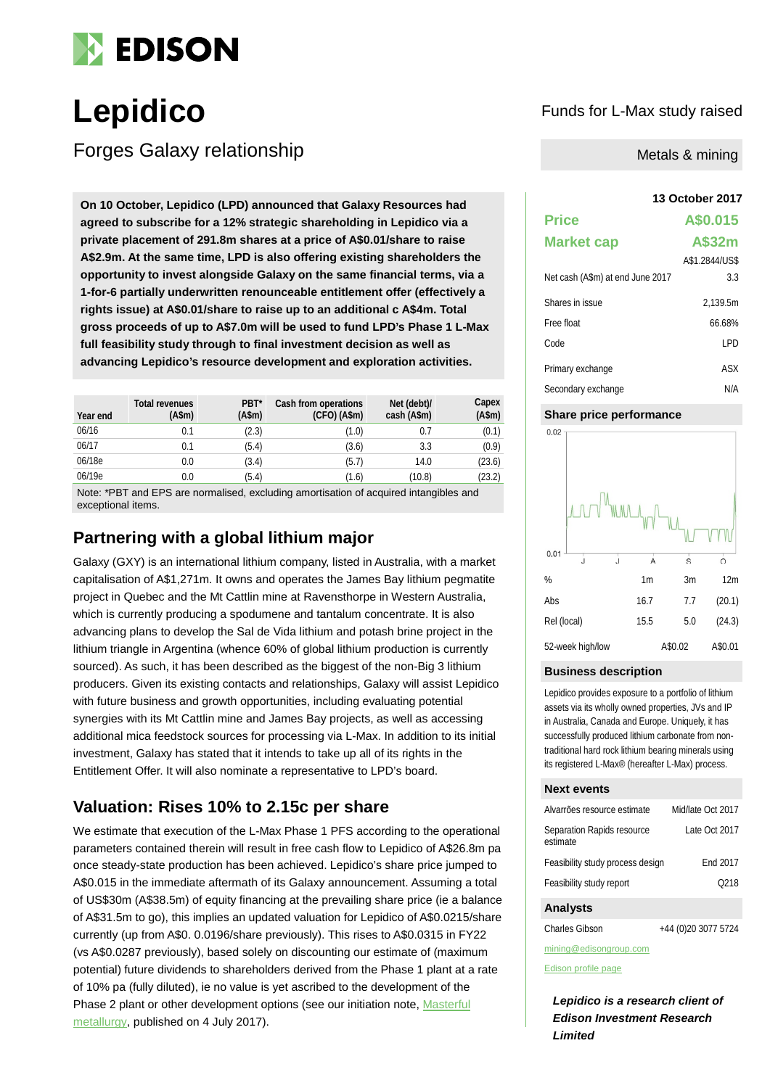

# **Lepidico** Funds for L-Max study raised

Forges Galaxy relationship

**13 October 2017 On 10 October, Lepidico (LPD) announced that Galaxy Resources had agreed to subscribe for a 12% strategic shareholding in Lepidico via a private placement of 291.8m shares at a price of A\$0.01/share to raise A\$2.9m. At the same time, LPD is also offering existing shareholders the opportunity to invest alongside Galaxy on the same financial terms, via a 1-for-6 partially underwritten renounceable entitlement offer (effectively a rights issue) at A\$0.01/share to raise up to an additional c A\$4m. Total gross proceeds of up to A\$7.0m will be used to fund LPD's Phase 1 L-Max full feasibility study through to final investment decision as well as advancing Lepidico's resource development and exploration activities.**

| Year end | <b>Total revenues</b><br>(A\$m) | PBT <sup>*</sup><br>(A\$m) | Cash from operations<br>$(CFO)$ (A\$m) | Net (debt)/<br>cash (A\$m) | Capex<br>(A\$m) |
|----------|---------------------------------|----------------------------|----------------------------------------|----------------------------|-----------------|
| 06/16    | 0.1                             | (2.3)                      | (1.0)                                  | 0.7                        | (0.1)           |
| 06/17    | 0.1                             | (5.4)                      | (3.6)                                  | 3.3                        | (0.9)           |
| 06/18e   | 0.0                             | (3.4)                      | (5.7)                                  | 14.0                       | (23.6)          |
| 06/19e   | 0.0                             | (5.4)                      | (1.6)                                  | (10.8)                     | (23.2)          |

Note: \*PBT and EPS are normalised, excluding amortisation of acquired intangibles and exceptional items.

## **Partnering with a global lithium major**

Galaxy (GXY) is an international lithium company, listed in Australia, with a market capitalisation of A\$1,271m. It owns and operates the James Bay lithium pegmatite project in Quebec and the Mt Cattlin mine at Ravensthorpe in Western Australia, which is currently producing a spodumene and tantalum concentrate. It is also advancing plans to develop the Sal de Vida lithium and potash brine project in the lithium triangle in Argentina (whence 60% of global lithium production is currently sourced). As such, it has been described as the biggest of the non-Big 3 lithium producers. Given its existing contacts and relationships, Galaxy will assist Lepidico with future business and growth opportunities, including evaluating potential synergies with its Mt Cattlin mine and James Bay projects, as well as accessing additional mica feedstock sources for processing via L-Max. In addition to its initial investment, Galaxy has stated that it intends to take up all of its rights in the Entitlement Offer. It will also nominate a representative to LPD's board.

# **Valuation: Rises 10% to 2.15c per share**

We estimate that execution of the L-Max Phase 1 PFS according to the operational parameters contained therein will result in free cash flow to Lepidico of A\$26.8m pa once steady-state production has been achieved. Lepidico's share price jumped to A\$0.015 in the immediate aftermath of its Galaxy announcement. Assuming a total of US\$30m (A\$38.5m) of equity financing at the prevailing share price (ie a balance of A\$31.5m to go), this implies an updated valuation for Lepidico of A\$0.0215/share currently (up from A\$0. 0.0196/share previously). This rises to A\$0.0315 in FY22 (vs A\$0.0287 previously), based solely on discounting our estimate of (maximum potential) future dividends to shareholders derived from the Phase 1 plant at a rate of 10% pa (fully diluted), ie no value is yet ascribed to the development of the Phase 2 plant or other development options (see our initiation note, [Masterful](http://www.edisoninvestmentresearch.com/research/report/lepidico/preview/)  [metallurgy,](http://www.edisoninvestmentresearch.com/research/report/lepidico/preview/) published on 4 July 2017).

### Metals & mining

| <b>Price</b>                     | A\$0.015       |
|----------------------------------|----------------|
| <b>Market cap</b>                | A\$32m         |
|                                  | A\$1.2844/US\$ |
| Net cash (A\$m) at end June 2017 | 3.3            |
| Shares in issue                  | 2,139.5m       |
| Free float                       | 66.68%         |
| Code                             | LPD            |
| Primary exchange                 | ASX            |
| Secondary exchange               | N/A            |

#### **Share price performance**



#### **Business description**

Lepidico provides exposure to a portfolio of lithium assets via its wholly owned properties, JVs and IP in Australia, Canada and Europe. Uniquely, it has successfully produced lithium carbonate from nontraditional hard rock lithium bearing minerals using its registered L-Max® (hereafter L-Max) process.

#### **Next events**

| Alvarrões resource estimate            | Mid/late Oct 2017 |
|----------------------------------------|-------------------|
| Separation Rapids resource<br>estimate | Late Oct 2017     |
| Feasibility study process design       | End 2017          |
| Feasibility study report               | O <sub>218</sub>  |
|                                        |                   |

#### **Analysts**

Charles Gibson +44 (0)20 3077 5724

mining@edisongroup.com

[Edison profile page](http://www.edisoninvestmentresearch.com/research/company/lepidico)

*Lepidico is a research client of Edison Investment Research Limited*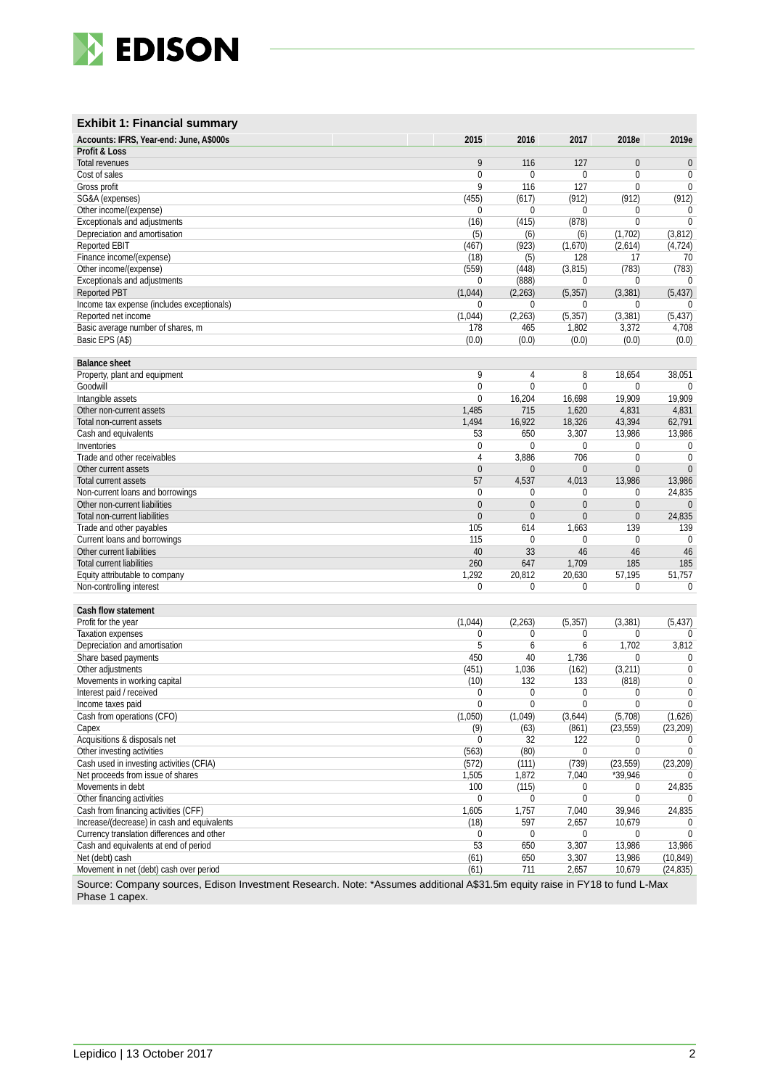

### **Exhibit 1: Financial summary**

| Accounts: IFRS, Year-end: June, A\$000s     | 2015           | 2016           | 2017             | 2018e          | 2019e            |
|---------------------------------------------|----------------|----------------|------------------|----------------|------------------|
| Profit & Loss                               |                |                |                  |                |                  |
| Total revenues                              | 9              | 116            | 127              | $\overline{0}$ | $\theta$         |
| Cost of sales                               | $\mathbf{0}$   | $\Omega$       | $\mathbf 0$      | $\mathbf 0$    | $\boldsymbol{0}$ |
| Gross profit                                | $\overline{9}$ | 116            | 127              | $\mathbf 0$    | $\pmb{0}$        |
| SG&A (expenses)                             | (455)          | (617)          | (912)            | (912)          | (912)            |
| Other income/(expense)                      | $\mathbf 0$    | 0              | 0                | 0              | 0                |
| Exceptionals and adjustments                | (16)           | (415)          | (878)            | $\mathbf{0}$   | $\mathbf{0}$     |
| Depreciation and amortisation               | (5)            | (6)            | (6)              | (1,702)        | (3,812)          |
| Reported EBIT                               | (467)          | (923)          | (1,670)          | (2,614)        | (4, 724)         |
| Finance income/(expense)                    | (18)           | (5)            | 128              | 17             | 70               |
| Other income/(expense)                      | (559)          | (448)          | (3, 815)         | (783)          | (783)            |
| Exceptionals and adjustments                | $\theta$       | (888)          | 0                | $\Omega$       |                  |
| <b>Reported PBT</b>                         | (1,044)        | (2, 263)       | (5, 357)         | (3, 381)       | (5, 437)         |
| Income tax expense (includes exceptionals)  | 0              | 0              | 0                | $\mathbf 0$    | $\Omega$         |
| Reported net income                         | (1,044)        | (2, 263)       | (5, 357)         | (3, 381)       | (5, 437)         |
| Basic average number of shares, m           | 178            | 465            | 1,802            | 3,372          | 4,708            |
| Basic EPS (A\$)                             | (0.0)          | (0.0)          | (0.0)            | (0.0)          | (0.0)            |
|                                             |                |                |                  |                |                  |
| <b>Balance sheet</b>                        |                |                |                  |                |                  |
| Property, plant and equipment               | 9              | 4              | 8                | 18,654         | 38,051           |
| Goodwill                                    | $\mathbf{0}$   | 0              | $\mathbf{0}$     | $\mathbf{0}$   | $\mathbf{0}$     |
| Intangible assets                           | $\mathbf{0}$   | 16,204         | 16,698           | 19,909         | 19,909           |
| Other non-current assets                    | 1,485          | 715            | 1,620            | 4,831          | 4,831            |
| Total non-current assets                    | 1,494          | 16,922         | 18,326           | 43,394         | 62,791           |
| Cash and equivalents                        | 53             | 650            | 3,307            | 13,986         | 13,986           |
| Inventories                                 | $\mathbf{0}$   | $\mathbf 0$    | $\mathbf 0$      | $\mathbf{0}$   | 0                |
| Trade and other receivables                 | $\overline{4}$ | 3,886          | 706              | $\mathbf{0}$   | $\mathbf{0}$     |
| Other current assets                        | $\mathbf{0}$   | $\mathbf{0}$   | $\mathbf{0}$     | $\overline{0}$ | $\mathbf{0}$     |
| Total current assets                        | 57             | 4,537          | 4,013            | 13,986         | 13,986           |
| Non-current loans and borrowings            | $\mathbf{0}$   | $\mathbf 0$    | 0                | $\mathbf 0$    | 24,835           |
| Other non-current liabilities               | $\mathbf{0}$   | $\overline{0}$ | $\mathbf{0}$     | $\overline{0}$ | $\theta$         |
| Total non-current liabilities               | $\Omega$       | $\overline{0}$ | $\Omega$         | $\overline{0}$ | 24,835           |
| Trade and other payables                    | 105            | 614            | 1,663            | 139            | 139              |
| Current loans and borrowings                | 115            | 0              | 0                | $\mathbf 0$    | 0                |
| Other current liabilities                   | 40             | 33             | 46               | 46             | 46               |
| <b>Total current liabilities</b>            | 260            | 647            | 1,709            | 185            | 185              |
| Equity attributable to company              | 1,292          | 20,812         | 20,630           | 57,195         | 51,757           |
| Non-controlling interest                    | $\Omega$       | 0              | 0                | 0              | 0                |
|                                             |                |                |                  |                |                  |
| Cash flow statement                         |                |                |                  |                |                  |
| Profit for the year                         | (1,044)        | (2, 263)       | (5, 357)         | (3, 381)       | (5, 437)         |
| <b>Taxation expenses</b>                    | $\mathbf 0$    | $\mathbf 0$    | 0                | 0              | $\Omega$         |
| Depreciation and amortisation               | 5              | 6              | 6                | 1,702          | 3,812            |
| Share based payments                        | 450            | 40             | 1,736            | $\mathbf{0}$   | $\boldsymbol{0}$ |
| Other adjustments                           | (451)          | 1,036          | (162)            | (3,211)        | $\boldsymbol{0}$ |
| Movements in working capital                | (10)           | 132            | 133              | (818)          | $\boldsymbol{0}$ |
| Interest paid / received                    | $\mathbf 0$    | $\mathbf 0$    | 0                | $\mathbf 0$    | $\pmb{0}$        |
| Income taxes paid                           | $\mathbf{0}$   | $\overline{0}$ | $\mathbf{0}$     | $\overline{0}$ | $\mathbf 0$      |
| Cash from operations (CFO)                  | (1,050)        | (1,049)        | (3,644)          | (5,708)        | (1,626)          |
| Capex                                       | (9)            | (63)           | (861)            | (23, 559)      | (23, 209)        |
| Acquisitions & disposals net                | $\mathbf 0$    | 32             | 122              | $\mathbf 0$    | 0                |
| Other investing activities                  | (563)          | (80)           | $\mathbf 0$      | $\mathbf{0}$   | $\mathbf 0$      |
| Cash used in investing activities (CFIA)    | (572)          | (111)          | (739)            | (23, 559)      | (23, 209)        |
| Net proceeds from issue of shares           | 1,505          | 1,872          | 7,040            | *39,946        |                  |
| Movements in debt                           | 100            | (115)          | 0                | 0              | 24,835           |
| Other financing activities                  | $\mathbf 0$    | 0              | $\boldsymbol{0}$ | $\mathbf 0$    |                  |
| Cash from financing activities (CFF)        | 1,605          | 1,757          | 7,040            | 39,946         | 24,835           |
| Increase/(decrease) in cash and equivalents | (18)           | 597            | 2,657            | 10,679         | 0                |
| Currency translation differences and other  | $\mathbf 0$    | 0              | 0                | 0              | $\mathbf 0$      |
| Cash and equivalents at end of period       | 53             | 650            | 3,307            | 13,986         | 13,986           |
| Net (debt) cash                             | (61)           | 650            | 3,307            | 13,986         | (10, 849)        |
| Movement in net (debt) cash over period     | (61)           | 711            | 2,657            | 10,679         | (24, 835)        |
|                                             |                |                |                  |                |                  |

Source: Company sources, Edison Investment Research. Note: \*Assumes additional A\$31.5m equity raise in FY18 to fund L-Max Phase 1 capex.